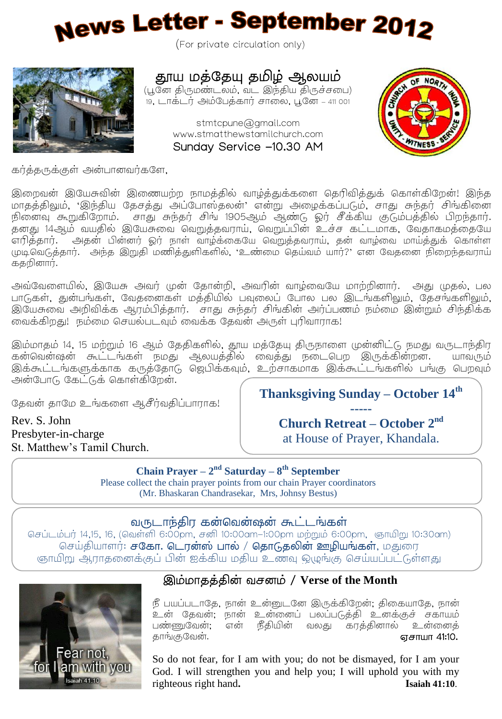# News Letter - September 2012

(For private circulation only)



தூய மத்தேயு தமிழ் ஆலயம்

(பூனே திருமண்டலம், வட இந்திய திருச்சபை) 19 – 411 001

> stmtcpune@gmail.com www.stmatthewstamilchurch.com Sunday Service -10.30 AM



கர்த்தருக்குள் அன்பானவர்களே,

இறைவன் இயேசுவின் இணையற்ற நாமத்தில் வாழ்த்துக்களை தெரிவித்துக் கொள்கிறேன்! இந்த மாதத்திலும், 'இந்திய தேசத்து அப்போஸ்தலன்' என்று அழைக்கப்படும். சாது சுந்தர் சிங்கினை நினைவு கூறுகிறோம். சாது சுந்தர் சிங் 1905ஆம் ஆண்டு ஒர் சீக்கிய குடும்பத்தில் பிறந்தார். தனது 14ஆம் வயதில் இயேசுவை வெறுத்தவராய், வெறுப்பின் உச்ச கட்டமாக, வேதாகமத்தையே எரித்தார். அதன் பின்னர் ஓர் நாள் வாழ்க்கையே வெறுத்தவராய், தன் வாழ்வை மாய்த்துக் கொள்ள முடிவெடுத்தார். அந்த இறுதி மணித்துளிகளில், 'உண்மை தெய்வம் யார்?' என வேதனை நிறைந்தவராய் கதறினார்.

அவவேளையில், இயேசு அவர் முன் தோன்றி, அவரின் வாழ்வையே மாற்றினார். அது முதல், பல பாடுகள், துன்பங்கள், வேதனைகள் மத்தியில் பவுலைப் போல பல இடங்களிலும், தேசங்களிலும், இயேசுவை அறிவிக்க ஆரம்பித்தார். சாது சுந்தர் சிங்கின் அர்ப்பணம் நம்மை இன்றும் சிந்திக்க லைக்கிறது! நம்மை செயல்படவும் வைக்க தேவன் அருள் புரிவாராக!

இம்மாதம் 14, 15 மற்றும் 16 ஆம் தேதிகளில், தூய மத்தேயு திருநாளை முன்னிட்டு நமது வருடாந்திர கன்வென்ஷன் கூட்டங்கள் நமது ஆலயத்தில் வைத்து நடைபெற இருக்கின்றன. யாவரும் இக்கூட்டங்களுக்காக கருத்தோடு ஜெபிக்கவும், உற்சாகமாக இக்கூட்டங்களில் பங்கு பெறவும் அன்போடு கேட்டுக் கொள்கிறேன்.

தேவன் தாமே உங்களை ஆசீர்வதிப்பாராக!

**Thanksgiving Sunday – October 14th -----**

Rev. S. John Presbyter-in-charge St. Matthew's Tamil Church. **Church Retreat – October 2 nd** at House of Prayer, Khandala.

**Chain Prayer – 2 nd Saturday – 8 th September** Please collect the chain prayer points from our chain Prayer coordinators (Mr. Bhaskaran Chandrasekar, Mrs, Johnsy Bestus)

#### வருடாந்திர கன்வென்ஷன் கூட்டங்கள்

செப்டம்பர் 14,15, 16, (வெள்ளி 6:00pm, சனி 10:00am-1:00pm மற்றும் 6:00pm, ஞாயிறு 10:30am) செய்தியாளர்: சகோ. டொன்ஸ் பால் / தொடுதலின் ஊழியங்கள், மதுரை .<br>ஞாயிறு ஆராகனைக்குப் பின் ஐக்கிய மதிய உணவு ஒழுங்கு செய்யப்பட்டுள்ளது



L L Í

### / **Verse of the Month**

நீ பயப்படாதே, நான் உன்னுடனே இருக்கிறேன்; திகையாகே. நான் உன் தேவன்; நான் உன்னைப் பலப்படுத்தி உனக்குச் சகாயம் பண்ணுவேன்;<br>காங்குவேன். என் நீதியின் வலது கரத்தினால் உன்னைத் . 41:10.

So do not fear, for I am with you; do not be dismayed, for I am your God. I will strengthen you and help you; I will uphold you with my righteous right hand**. Isaiah 41:10**.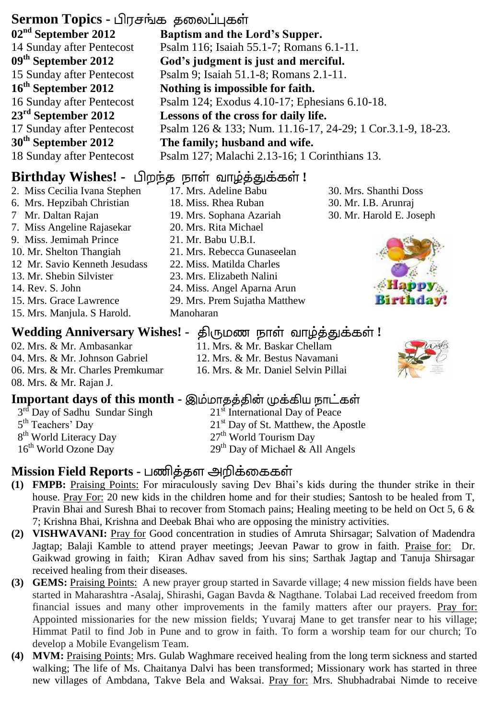### **Sermon Topics -**

**02nd September 2012** 14 Sunday after Pentecost **09 th September 2012** 15 Sunday after Pentecost **16th September 2012** 16 Sunday after Pentecost **23rd September 2012** 17 Sunday after Pentecost **30th September 2012** 18 Sunday after Pentecost

## **Birthday Wishes! -** பிறந்த நாள் வாழ்த்துக்கள்!

- 2. Miss Cecilia Ivana Stephen 6. Mrs. Hepzibah Christian 7 Mr. Daltan Rajan 7. Miss Angeline Rajasekar 9. Miss. Jemimah Prince 10. Mr. Shelton Thangiah 12 Mr. Savio Kenneth Jesudass 13. Mr. Shebin Silvister 14. Rev. S. John 15. Mrs. Grace Lawrence 15. Mrs. Manjula. S Harold.
- **Wedding Anniversary Wishes! திருமண நாள் வாழ்த்துக்கள்!** 02. Mrs. & Mr. Ambasankar 04. Mrs. & Mr. Johnson Gabriel 06. Mrs. & Mr. Charles Premkumar
- 08. Mrs. & Mr. Rajan J.

### **Important days of this month -**

- 3<sup>rd</sup> Day of Sadhu Sundar Singh 5<sup>th</sup> Teachers' Day 8<sup>th</sup> World Literacy Day 16<sup>th</sup> World Ozone Day
- 21<sup>st</sup> International Day of Peace 21<sup>st</sup> Day of St. Matthew, the Apostle
- 27th World Tourism Day

11. Mrs. & Mr. Baskar Chellam 12. Mrs. & Mr. Bestus Navamani 16. Mrs. & Mr. Daniel Selvin Pillai

 $29<sup>th</sup>$  Day of Michael & All Angels

### **Mission Field Reports -**

- **(1) FMPB:** Praising Points: For miraculously saving Dev Bhai's kids during the thunder strike in their house. Pray For: 20 new kids in the children home and for their studies; Santosh to be healed from T, Pravin Bhai and Suresh Bhai to recover from Stomach pains; Healing meeting to be held on Oct 5, 6 & 7; Krishna Bhai, Krishna and Deebak Bhai who are opposing the ministry activities.
- **(2) VISHWAVANI:** Pray for Good concentration in studies of Amruta Shirsagar; Salvation of Madendra Jagtap; Balaji Kamble to attend prayer meetings; Jeevan Pawar to grow in faith. Praise for: Dr. Gaikwad growing in faith; Kiran Adhav saved from his sins; Sarthak Jagtap and Tanuja Shirsagar received healing from their diseases.
- **(3) GEMS:** Praising Points: A new prayer group started in Savarde village; 4 new mission fields have been started in Maharashtra -Asalaj, Shirashi, Gagan Bavda & Nagthane. Tolabai Lad received freedom from financial issues and many other improvements in the family matters after our prayers. Pray for: Appointed missionaries for the new mission fields; Yuvaraj Mane to get transfer near to his village; Himmat Patil to find Job in Pune and to grow in faith. To form a worship team for our church; To develop a Mobile Evangelism Team.
- **(4) MVM:** Praising Points: Mrs. Gulab Waghmare received healing from the long term sickness and started walking; The life of Ms. Chaitanya Dalvi has been transformed; Missionary work has started in three new villages of Ambdana, Takve Bela and Waksai. Pray for: Mrs. Shubhadrabai Nimde to receive
- **Baptism and the Lord's Supper.** Psalm 116; Isaiah 55.1-7; Romans 6.1-11. **God's judgment is just and merciful.** Psalm 9; Isaiah 51.1-8; Romans 2.1-11. **Nothing is impossible for faith.** Psalm 124; Exodus 4.10-17; Ephesians 6.10-18. **Lessons of the cross for daily life.** Psalm 126 & 133; Num. 11.16-17, 24-29; 1 Cor.3.1-9, 18-23. **The family; husband and wife.** Psalm 127; Malachi 2.13-16; 1 Corinthians 13.
	- 17. Mrs. Adeline Babu 18. Miss. Rhea Ruban 19. Mrs. Sophana Azariah 20. Mrs. Rita Michael 30. Mrs. Shanthi Doss
	- 21. Mr. Babu U.B.I.
	- 21. Mrs. Rebecca Gunaseelan
	- 22. Miss. Matilda Charles
	- 23. Mrs. Elizabeth Nalini
	- 24. Miss. Angel Aparna Arun
	- 29. Mrs. Prem Sujatha Matthew Manoharan

### 30. Mr. I.B. Arunraj 30. Mr. Harold E. Joseph



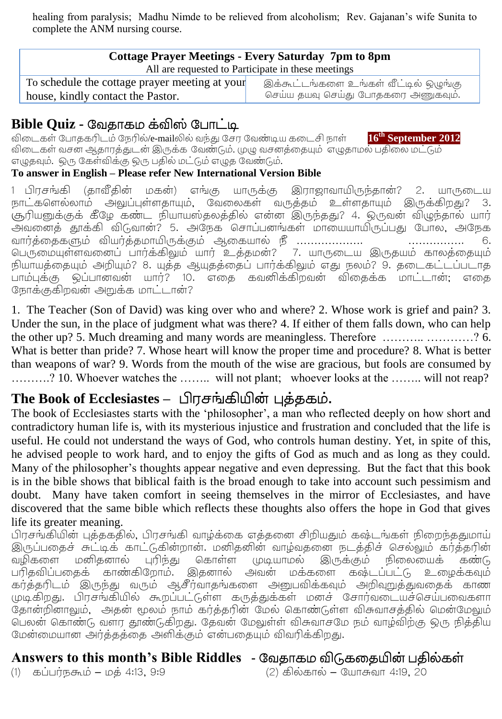healing from paralysis; Madhu Nimde to be relieved from alcoholism; Rev. Gajanan's wife Sunita to complete the ANM nursing course.

| Cottage Prayer Meetings - Every Saturday 7pm to 8pm<br>All are requested to Participate in these meetings |                                       |
|-----------------------------------------------------------------------------------------------------------|---------------------------------------|
| To schedule the cottage prayer meeting at your                                                            | இக்கூட்டங்களை உங்கள் வீட்டில் ஒழுங்கு |
| house, kindly contact the Pastor.                                                                         | செய்ய தயவு செய்து போதகரை அணுகவும்.    |

### **Bible Quiz -**

விடைகள் போதகரிடம் நேரில்/e-mailலில் வந்து சேர வேண்டிய கடைசி நாள் **th September 2012** விடைகள் வசன ஆதாரத்துடன் இருக்க வேண்டும். முழு வசனத்தையும் எழுதாமல் பதிலை மட்டும் எழுதவும். ஒரு கேள்விக்கு ஒரு பதில் மட்டும் எழுத வேண்டும்.

#### **To answer in English – Please refer New International Version Bible**

1 பிரசங்கி (தாவீதின் மகன்) எங்கு யாருக்கு இராஜாவாயிருந்தான்? 2. யாருடைய நாட்களெல்லாம் அலுப்புள்ளதாயும், வேலைகள் வருத்தம் உள்ளதாயும் இருக்கிறது? 3. சூரியனுக்குக் கீழே கண்ட நியாயஸ்தலத்தில் என்ன இருந்தது? 4. ஒருவன் விழுந்தால் யார் அவனைத் தூக்கி விடுவான்? 5. அநேக சொப்பனங்கள் மாயையாயிருப்பது போல, அநேக ………………. …………… 6. பெருமையுள்ளவனைப் பார்க்கிலும் யார் உத்தமன்? 7. யாருடைய இருதயம் காலத்தையும் நியாயத்தையும் அறியும்? 8. யுத்த ஆயுதத்தைப் பார்க்கிலும் எது நலம்? 9. தடைகட்டப்படாத .<br>பாம்புக்கு ஒப்பானவன் யார்? 10. எதை கவனிக்கிறவன் விதைக்க மாட்டான். எதை நோக்குகிறவன் அறுக்க மாட்டான்?

1.. The Teacher (Son of David) was king over who and where? 2. Whose work is grief and pain? 3. Under the sun, in the place of judgment what was there? 4. If either of them falls down, who can help the other up? 5. Much dreaming and many words are meaningless. Therefore ……….. …………? 6. What is better than pride? 7. Whose heart will know the proper time and procedure? 8. What is better than weapons of war? 9. Words from the mouth of the wise are gracious, but fools are consumed by ……….? 10. Whoever watches the …….. will not plant; whoever looks at the …….. will not reap?

### The Book of Ecclesiastes – பிரசங்கியின் புத்தகம்.

The book of Ecclesiastes starts with the 'philosopher', a man who reflected deeply on how short and contradictory human life is, with its mysterious injustice and frustration and concluded that the life is useful. He could not understand the ways of God, who controls human destiny. Yet, in spite of this, he advised people to work hard, and to enjoy the gifts of God as much and as long as they could. Many of the philosopher's thoughts appear negative and even depressing. But the fact that this book is in the bible shows that biblical faith is the broad enough to take into account such pessimism and doubt. Many have taken comfort in seeing themselves in the mirror of Ecclesiastes, and have discovered that the same bible which reflects these thoughts also offers the hope in God that gives life its greater meaning.

பிரசங்கியின் புத்தகதில், பிரசங்கி வாழ்க்கை எத்தனை சிறியதும் கஷ்டங்கள் நிறைந்ததுமாய் இருப்பதைச் சுட்டிக் காட்டுகின்றான். மனிதனின் வாழ்வதனை நடத்திச் செல்லும் கர்த்தரின் வழிகளை மனிதனால் புரிந்து கொள்ள முடியாமல் இருக்கும் நிலையைக் கண்டு பரிதவிப்பதைக் காண்கிறோம். இதனால் அவன் மக்களை கஷ்டப்பட்டு உழைக்கவும் கர்த்தரிடம் இருந்து வரும் ஆசீர்வாதங்களை அனுபவிக்கவும் அறிவுறுத்துவதைக் காண முடிகிறது. பிரசங்கியில் கூறப்பட்டுள்ள கருத்துக்கள் மனச் சோர்வடையச்செய்பவைகளா தோன்றினாலும், அதன் மூலம் நாம் கர்த்தரின் மேல் கொண்டுள்ள விசுவாசத்தில் மென்மேலும் பெலன் கொண்டு வளர தூண்டுகிறது. தேவன் மேலுள்ள் விசுவாசமே நம் வாழ்விற்கு ஒரு நித்திய மேன்மையான அர்த்தத்தை அளிக்கும் என்பதையும் விவரிக்கிறது.

### **Answers to this month's Bible Riddles -** வேதாகம விடுகதத

- 
- (1) கப்பர்நகூம் மத் 4:13, 9:9 (2) கில்கால் யோசுவா 4:19, 20